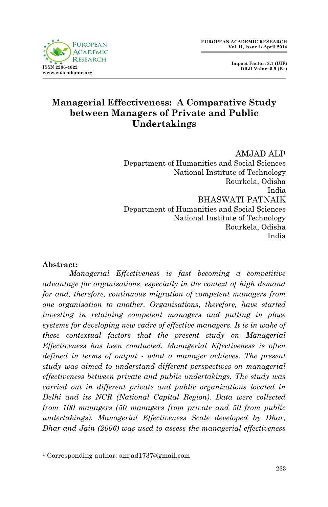

 **Impact Factor: 3.1 (UIF) DRJI Value: 5.9 (B+)**

## **Managerial Effectiveness: A Comparative Study between Managers of Private and Public Undertakings**

AMJAD ALI<sup>1</sup> Department of Humanities and Social Sciences National Institute of Technology Rourkela, Odisha India BHASWATI PATNAIK Department of Humanities and Social Sciences National Institute of Technology Rourkela, Odisha India

#### **Abstract:**

1

*Managerial Effectiveness is fast becoming a competitive advantage for organisations, especially in the context of high demand for and, therefore, continuous migration of competent managers from one organisation to another. Organisations, therefore, have started investing in retaining competent managers and putting in place systems for developing new cadre of effective managers. It is in wake of these contextual factors that the present study on Managerial Effectiveness has been conducted. Managerial Effectiveness is often defined in terms of output - what a manager achieves. The present study was aimed to understand different perspectives on managerial effectiveness between private and public undertakings. The study was carried out in different private and public organizations located in Delhi and its NCR (National Capital Region). Data were collected from 100 managers (50 managers from private and 50 from public undertakings). Managerial Effectiveness Scale developed by Dhar, Dhar and Jain (2006) was used to assess the managerial effectiveness* 

<sup>1</sup> Corresponding author: amjad1737@gmail.com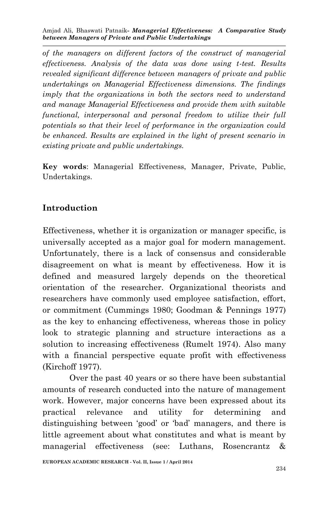*of the managers on different factors of the construct of managerial effectiveness. Analysis of the data was done using t-test. Results revealed significant difference between managers of private and public undertakings on Managerial Effectiveness dimensions. The findings imply that the organizations in both the sectors need to understand and manage Managerial Effectiveness and provide them with suitable functional, interpersonal and personal freedom to utilize their full potentials so that their level of performance in the organization could be enhanced. Results are explained in the light of present scenario in existing private and public undertakings.*

**Key words**: Managerial Effectiveness, Manager, Private, Public, Undertakings.

## **Introduction**

Effectiveness, whether it is organization or manager specific, is universally accepted as a major goal for modern management. Unfortunately, there is a lack of consensus and considerable disagreement on what is meant by effectiveness. How it is defined and measured largely depends on the theoretical orientation of the researcher. Organizational theorists and researchers have commonly used employee satisfaction, effort, or commitment (Cummings 1980; Goodman & Pennings 1977) as the key to enhancing effectiveness, whereas those in policy look to strategic planning and structure interactions as a solution to increasing effectiveness (Rumelt 1974). Also many with a financial perspective equate profit with effectiveness (Kirchoff 1977).

Over the past 40 years or so there have been substantial amounts of research conducted into the nature of management work. However, major concerns have been expressed about its practical relevance and utility for determining and distinguishing between 'good' or 'bad' managers, and there is little agreement about what constitutes and what is meant by managerial effectiveness (see: Luthans, Rosencrantz &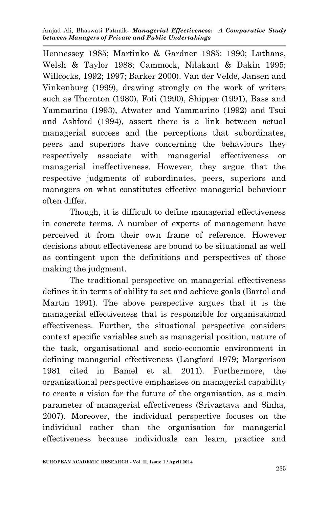Amjad Ali, Bhaswati Patnaik*- Managerial Effectiveness: A Comparative Study between Managers of Private and Public Undertakings*

Hennessey 1985; Martinko & Gardner 1985: 1990; Luthans, Welsh & Taylor 1988; Cammock, Nilakant & Dakin 1995; Willcocks, 1992; 1997; Barker 2000). Van der Velde, Jansen and Vinkenburg (1999), drawing strongly on the work of writers such as Thornton (1980), Foti (1990), Shipper (1991), Bass and Yammarino (1993), Atwater and Yammarino (1992) and Tsui and Ashford (1994), assert there is a link between actual managerial success and the perceptions that subordinates, peers and superiors have concerning the behaviours they respectively associate with managerial effectiveness or managerial ineffectiveness. However, they argue that the respective judgments of subordinates, peers, superiors and managers on what constitutes effective managerial behaviour often differ.

Though, it is difficult to define managerial effectiveness in concrete terms. A number of experts of management have perceived it from their own frame of reference. However decisions about effectiveness are bound to be situational as well as contingent upon the definitions and perspectives of those making the judgment.

The traditional perspective on managerial effectiveness defines it in terms of ability to set and achieve goals (Bartol and Martin 1991). The above perspective argues that it is the managerial effectiveness that is responsible for organisational effectiveness. Further, the situational perspective considers context specific variables such as managerial position, nature of the task, organisational and socio-economic environment in defining managerial effectiveness (Langford 1979; Margerison 1981 cited in Bamel et al. 2011). Furthermore, the organisational perspective emphasises on managerial capability to create a vision for the future of the organisation, as a main parameter of managerial effectiveness (Srivastava and Sinha, 2007). Moreover, the individual perspective focuses on the individual rather than the organisation for managerial effectiveness because individuals can learn, practice and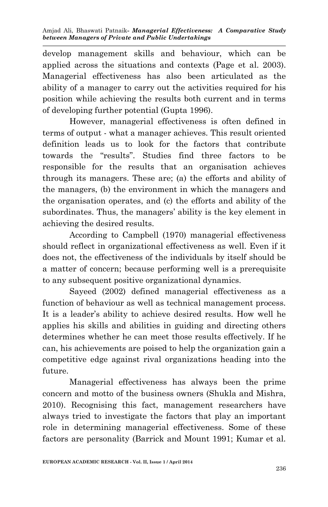develop management skills and behaviour, which can be applied across the situations and contexts (Page et al. 2003). Managerial effectiveness has also been articulated as the ability of a manager to carry out the activities required for his position while achieving the results both current and in terms of developing further potential (Gupta 1996).

However, managerial effectiveness is often defined in terms of output - what a manager achieves. This result oriented definition leads us to look for the factors that contribute towards the "results". Studies find three factors to be responsible for the results that an organisation achieves through its managers. These are; (a) the efforts and ability of the managers, (b) the environment in which the managers and the organisation operates, and (c) the efforts and ability of the subordinates. Thus, the managers' ability is the key element in achieving the desired results.

According to Campbell (1970) managerial effectiveness should reflect in organizational effectiveness as well. Even if it does not, the effectiveness of the individuals by itself should be a matter of concern; because performing well is a prerequisite to any subsequent positive organizational dynamics.

Sayeed (2002) defined managerial effectiveness as a function of behaviour as well as technical management process. It is a leader's ability to achieve desired results. How well he applies his skills and abilities in guiding and directing others determines whether he can meet those results effectively. If he can, his achievements are poised to help the organization gain a competitive edge against rival organizations heading into the future.

Managerial effectiveness has always been the prime concern and motto of the business owners (Shukla and Mishra, 2010). Recognising this fact, management researchers have always tried to investigate the factors that play an important role in determining managerial effectiveness. Some of these factors are personality (Barrick and Mount 1991; Kumar et al.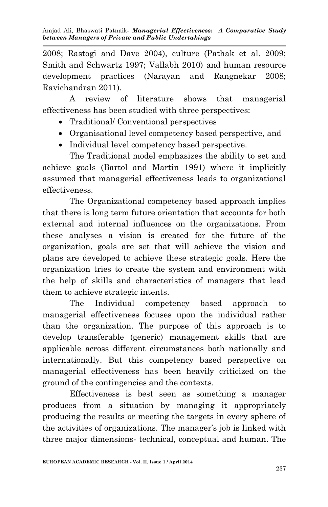2008; Rastogi and Dave 2004), culture (Pathak et al. 2009; Smith and Schwartz 1997; Vallabh 2010) and human resource development practices (Narayan and Rangnekar 2008; Ravichandran 2011).

A review of literature shows that managerial effectiveness has been studied with three perspectives:

- Traditional/ Conventional perspectives
- Organisational level competency based perspective, and
- Individual level competency based perspective.

The Traditional model emphasizes the ability to set and achieve goals (Bartol and Martin 1991) where it implicitly assumed that managerial effectiveness leads to organizational effectiveness.

The Organizational competency based approach implies that there is long term future orientation that accounts for both external and internal influences on the organizations. From these analyses a vision is created for the future of the organization, goals are set that will achieve the vision and plans are developed to achieve these strategic goals. Here the organization tries to create the system and environment with the help of skills and characteristics of managers that lead them to achieve strategic intents.

The Individual competency based approach to managerial effectiveness focuses upon the individual rather than the organization. The purpose of this approach is to develop transferable (generic) management skills that are applicable across different circumstances both nationally and internationally. But this competency based perspective on managerial effectiveness has been heavily criticized on the ground of the contingencies and the contexts.

Effectiveness is best seen as something a manager produces from a situation by managing it appropriately producing the results or meeting the targets in every sphere of the activities of organizations. The manager's job is linked with three major dimensions- technical, conceptual and human. The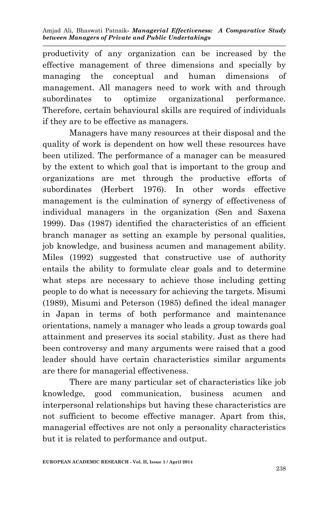productivity of any organization can be increased by the effective management of three dimensions and specially by managing the conceptual and human dimensions of management. All managers need to work with and through subordinates to optimize organizational performance. Therefore, certain behavioural skills are required of individuals if they are to be effective as managers.

Managers have many resources at their disposal and the quality of work is dependent on how well these resources have been utilized. The performance of a manager can be measured by the extent to which goal that is important to the group and organizations are met through the productive efforts of subordinates (Herbert 1976). In other words effective management is the culmination of synergy of effectiveness of individual managers in the organization (Sen and Saxena 1999). Das (1987) identified the characteristics of an efficient branch manager as setting an example by personal qualities, job knowledge, and business acumen and management ability. Miles (1992) suggested that constructive use of authority entails the ability to formulate clear goals and to determine what steps are necessary to achieve those including getting people to do what is necessary for achieving the targets. Misumi (1989), Misumi and Peterson (1985) defined the ideal manager in Japan in terms of both performance and maintenance orientations, namely a manager who leads a group towards goal attainment and preserves its social stability. Just as there had been controversy and many arguments were raised that a good leader should have certain characteristics similar arguments are there for managerial effectiveness.

There are many particular set of characteristics like job knowledge, good communication, business acumen and interpersonal relationships but having these characteristics are not sufficient to become effective manager. Apart from this, managerial effectives are not only a personality characteristics but it is related to performance and output.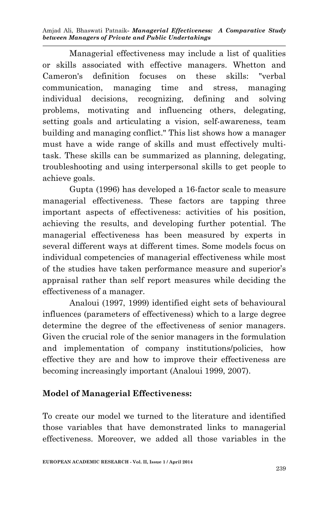Managerial effectiveness may include a list of qualities or skills associated with effective managers. Whetton and Cameron's definition focuses on these skills: "verbal communication, managing time and stress, managing individual decisions, recognizing, defining and solving problems, motivating and influencing others, delegating, setting goals and articulating a vision, self-awareness, team building and managing conflict." This list shows how a manager must have a wide range of skills and must effectively multitask. These skills can be summarized as planning, delegating, troubleshooting and using interpersonal skills to get people to achieve goals.

Gupta (1996) has developed a 16-factor scale to measure managerial effectiveness. These factors are tapping three important aspects of effectiveness: activities of his position, achieving the results, and developing further potential. The managerial effectiveness has been measured by experts in several different ways at different times. Some models focus on individual competencies of managerial effectiveness while most of the studies have taken performance measure and superior's appraisal rather than self report measures while deciding the effectiveness of a manager.

Analoui (1997, 1999) identified eight sets of behavioural influences (parameters of effectiveness) which to a large degree determine the degree of the effectiveness of senior managers. Given the crucial role of the senior managers in the formulation and implementation of company institutions/policies, how effective they are and how to improve their effectiveness are becoming increasingly important (Analoui 1999, 2007).

## **Model of Managerial Effectiveness:**

To create our model we turned to the literature and identified those variables that have demonstrated links to managerial effectiveness. Moreover, we added all those variables in the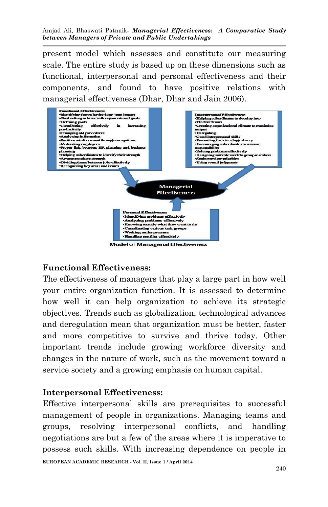present model which assesses and constitute our measuring scale. The entire study is based up on these dimensions such as functional, interpersonal and personal effectiveness and their components, and found to have positive relations with



#### **Functional Effectiveness:**

The effectiveness of managers that play a large part in how well your entire organization function. It is assessed to determine how well it can help organization to achieve its strategic objectives. Trends such as globalization, technological advances and deregulation mean that organization must be better, faster and more competitive to survive and thrive today. Other important trends include growing workforce diversity and changes in the nature of work, such as the movement toward a service society and a growing emphasis on human capital.

#### **Interpersonal Effectiveness:**

**EUROPEAN ACADEMIC RESEARCH - Vol. II, Issue 1 / April 2014** Effective interpersonal skills are prerequisites to successful management of people in organizations. Managing teams and groups, resolving interpersonal conflicts, and handling negotiations are but a few of the areas where it is imperative to possess such skills. With increasing dependence on people in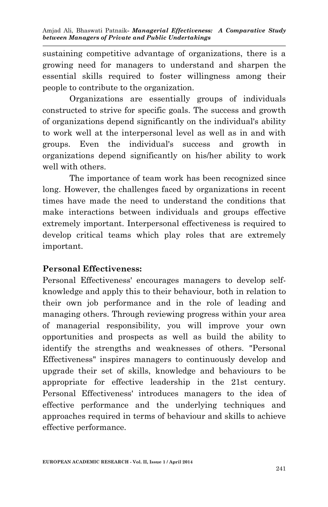sustaining competitive advantage of organizations, there is a growing need for managers to understand and sharpen the essential skills required to foster willingness among their people to contribute to the organization.

Organizations are essentially groups of individuals constructed to strive for specific goals. The success and growth of organizations depend significantly on the individual's ability to work well at the interpersonal level as well as in and with groups. Even the individual's success and growth in organizations depend significantly on his/her ability to work well with others.

The importance of team work has been recognized since long. However, the challenges faced by organizations in recent times have made the need to understand the conditions that make interactions between individuals and groups effective extremely important. Interpersonal effectiveness is required to develop critical teams which play roles that are extremely important.

## **Personal Effectiveness:**

Personal Effectiveness' encourages managers to develop selfknowledge and apply this to their behaviour, both in relation to their own job performance and in the role of leading and managing others. Through reviewing progress within your area of managerial responsibility, you will improve your own opportunities and prospects as well as build the ability to identify the strengths and weaknesses of others. "Personal Effectiveness" inspires managers to continuously develop and upgrade their set of skills, knowledge and behaviours to be appropriate for effective leadership in the 21st century. Personal Effectiveness' introduces managers to the idea of effective performance and the underlying techniques and approaches required in terms of behaviour and skills to achieve effective performance.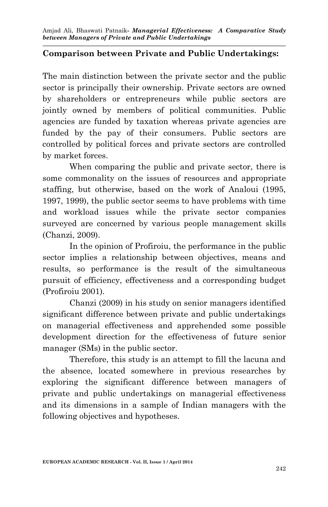#### **Comparison between Private and Public Undertakings:**

The main distinction between the private sector and the public sector is principally their ownership. Private sectors are owned by shareholders or entrepreneurs while public sectors are jointly owned by members of political communities. Public agencies are funded by taxation whereas private agencies are funded by the pay of their consumers. Public sectors are controlled by political forces and private sectors are controlled by market forces.

When comparing the public and private sector, there is some commonality on the issues of resources and appropriate staffing, but otherwise, based on the work of Analoui (1995, 1997, 1999), the public sector seems to have problems with time and workload issues while the private sector companies surveyed are concerned by various people management skills (Chanzi, 2009).

In the opinion of Profiroiu, the performance in the public sector implies a relationship between objectives, means and results, so performance is the result of the simultaneous pursuit of efficiency, effectiveness and a corresponding budget (Profiroiu 2001).

Chanzi (2009) in his study on senior managers identified significant difference between private and public undertakings on managerial effectiveness and apprehended some possible development direction for the effectiveness of future senior manager (SMs) in the public sector.

Therefore, this study is an attempt to fill the lacuna and the absence, located somewhere in previous researches by exploring the significant difference between managers of private and public undertakings on managerial effectiveness and its dimensions in a sample of Indian managers with the following objectives and hypotheses.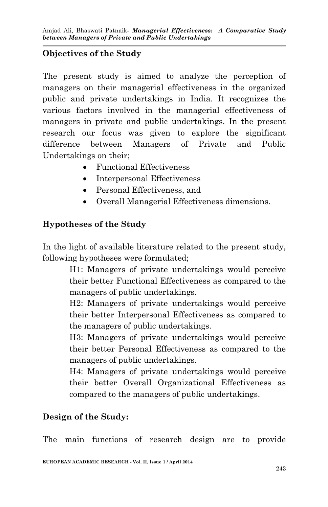## **Objectives of the Study**

The present study is aimed to analyze the perception of managers on their managerial effectiveness in the organized public and private undertakings in India. It recognizes the various factors involved in the managerial effectiveness of managers in private and public undertakings. In the present research our focus was given to explore the significant difference between Managers of Private and Public Undertakings on their;

- Functional Effectiveness
- Interpersonal Effectiveness
- Personal Effectiveness, and
- Overall Managerial Effectiveness dimensions.

## **Hypotheses of the Study**

In the light of available literature related to the present study, following hypotheses were formulated;

> H1: Managers of private undertakings would perceive their better Functional Effectiveness as compared to the managers of public undertakings.

> H2: Managers of private undertakings would perceive their better Interpersonal Effectiveness as compared to the managers of public undertakings.

> H3: Managers of private undertakings would perceive their better Personal Effectiveness as compared to the managers of public undertakings.

> H4: Managers of private undertakings would perceive their better Overall Organizational Effectiveness as compared to the managers of public undertakings.

## **Design of the Study:**

The main functions of research design are to provide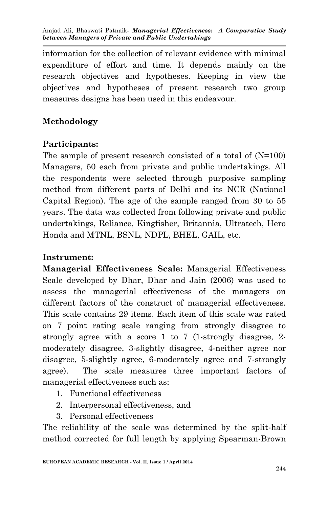information for the collection of relevant evidence with minimal expenditure of effort and time. It depends mainly on the research objectives and hypotheses. Keeping in view the objectives and hypotheses of present research two group measures designs has been used in this endeavour.

# **Methodology**

# **Participants:**

The sample of present research consisted of a total of (N=100) Managers, 50 each from private and public undertakings. All the respondents were selected through purposive sampling method from different parts of Delhi and its NCR (National Capital Region). The age of the sample ranged from 30 to 55 years. The data was collected from following private and public undertakings, Reliance, Kingfisher, Britannia, Ultratech, Hero Honda and MTNL, BSNL, NDPL, BHEL, GAIL, etc.

# **Instrument:**

**Managerial Effectiveness Scale:** Managerial Effectiveness Scale developed by Dhar, Dhar and Jain (2006) was used to assess the managerial effectiveness of the managers on different factors of the construct of managerial effectiveness. This scale contains 29 items. Each item of this scale was rated on 7 point rating scale ranging from strongly disagree to strongly agree with a score 1 to 7 (1-strongly disagree, 2 moderately disagree, 3-slightly disagree, 4-neither agree nor disagree, 5-slightly agree, 6-moderately agree and 7-strongly agree). The scale measures three important factors of managerial effectiveness such as;

- 1. Functional effectiveness
- 2. Interpersonal effectiveness, and
- 3. Personal effectiveness

The reliability of the scale was determined by the split-half method corrected for full length by applying Spearman-Brown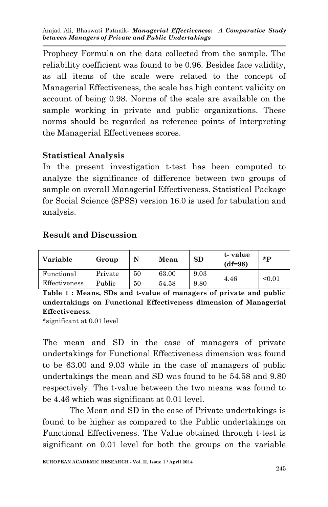Prophecy Formula on the data collected from the sample. The reliability coefficient was found to be 0.96. Besides face validity, as all items of the scale were related to the concept of Managerial Effectiveness, the scale has high content validity on account of being 0.98. Norms of the scale are available on the sample working in private and public organizations. These norms should be regarded as reference points of interpreting the Managerial Effectiveness scores.

#### **Statistical Analysis**

In the present investigation t-test has been computed to analyze the significance of difference between two groups of sample on overall Managerial Effectiveness. Statistical Package for Social Science (SPSS) version 16.0 is used for tabulation and analysis.

#### **Result and Discussion**

| Variable      | Group   | N  | Mean  | SD   | t-value<br>$(df=98)$ | $*p$   |
|---------------|---------|----|-------|------|----------------------|--------|
| Functional    | Private | 50 | 63.00 | 9.03 | 4.46                 | < 0.01 |
| Effectiveness | Public  | 50 | 54.58 | 9.80 |                      |        |

**Table 1 : Means, SDs and t-value of managers of private and public undertakings on Functional Effectiveness dimension of Managerial Effectiveness.**

\*significant at 0.01 level

The mean and SD in the case of managers of private undertakings for Functional Effectiveness dimension was found to be 63.00 and 9.03 while in the case of managers of public undertakings the mean and SD was found to be 54.58 and 9.80 respectively. The t-value between the two means was found to be 4.46 which was significant at 0.01 level.

The Mean and SD in the case of Private undertakings is found to be higher as compared to the Public undertakings on Functional Effectiveness. The Value obtained through t-test is significant on 0.01 level for both the groups on the variable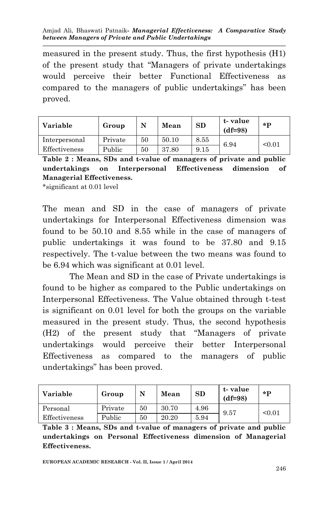measured in the present study. Thus, the first hypothesis (H1) of the present study that "Managers of private undertakings would perceive their better Functional Effectiveness as compared to the managers of public undertakings" has been proved.

| Variable      | Group   |    | Mean  | <b>SD</b> | t-value<br>$(df=98)$ | $*$ <b>D</b> |
|---------------|---------|----|-------|-----------|----------------------|--------------|
| Interpersonal | Private | 50 | 50.10 | 8.55      | 6.94                 | < 0.01       |
| Effectiveness | Public  | 50 | 37.80 | 9.15      |                      |              |

**Table 2 : Means, SDs and t-value of managers of private and public undertakings on Interpersonal Effectiveness dimension of Managerial Effectiveness.**

\*significant at 0.01 level

The mean and SD in the case of managers of private undertakings for Interpersonal Effectiveness dimension was found to be 50.10 and 8.55 while in the case of managers of public undertakings it was found to be 37.80 and 9.15 respectively. The t-value between the two means was found to be 6.94 which was significant at 0.01 level.

The Mean and SD in the case of Private undertakings is found to be higher as compared to the Public undertakings on Interpersonal Effectiveness. The Value obtained through t-test is significant on 0.01 level for both the groups on the variable measured in the present study. Thus, the second hypothesis (H2) of the present study that "Managers of private undertakings would perceive their better Interpersonal Effectiveness as compared to the managers of public undertakings" has been proved.

| Variable      | Group   | N  | Mean  | SD   | t-value<br>$(df=98)$ | $*$ <b>p</b> |
|---------------|---------|----|-------|------|----------------------|--------------|
| Personal      | Private | 50 | 30.70 | 4.96 | 9.57                 | < 0.01       |
| Effectiveness | Public  | 50 | 20.20 | 5.94 |                      |              |

**Table 3 : Means, SDs and t-value of managers of private and public undertakings on Personal Effectiveness dimension of Managerial Effectiveness.**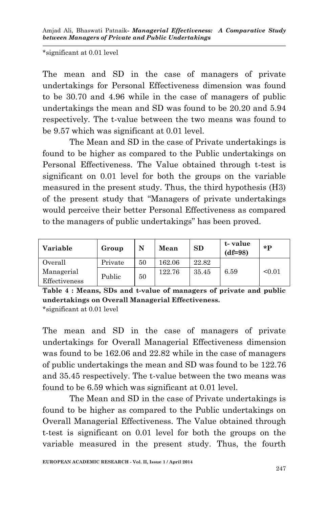\*significant at 0.01 level

The mean and SD in the case of managers of private undertakings for Personal Effectiveness dimension was found to be 30.70 and 4.96 while in the case of managers of public undertakings the mean and SD was found to be 20.20 and 5.94 respectively. The t-value between the two means was found to be 9.57 which was significant at 0.01 level.

The Mean and SD in the case of Private undertakings is found to be higher as compared to the Public undertakings on Personal Effectiveness. The Value obtained through t-test is significant on 0.01 level for both the groups on the variable measured in the present study. Thus, the third hypothesis (H3) of the present study that "Managers of private undertakings would perceive their better Personal Effectiveness as compared to the managers of public undertakings" has been proved.

| Variable                    | Group   | N  | Mean   | SD    | t-value<br>$(df=98)$ | $*$ D  |
|-----------------------------|---------|----|--------|-------|----------------------|--------|
| Overall                     | Private | 50 | 162.06 | 22.82 |                      |        |
| Managerial<br>Effectiveness | Public  | 50 | 122.76 | 35.45 | 6.59                 | < 0.01 |

**Table 4 : Means, SDs and t-value of managers of private and public undertakings on Overall Managerial Effectiveness.** \*significant at 0.01 level

The mean and SD in the case of managers of private undertakings for Overall Managerial Effectiveness dimension was found to be 162.06 and 22.82 while in the case of managers of public undertakings the mean and SD was found to be 122.76 and 35.45 respectively. The t-value between the two means was found to be 6.59 which was significant at 0.01 level.

The Mean and SD in the case of Private undertakings is found to be higher as compared to the Public undertakings on Overall Managerial Effectiveness. The Value obtained through t-test is significant on 0.01 level for both the groups on the variable measured in the present study. Thus, the fourth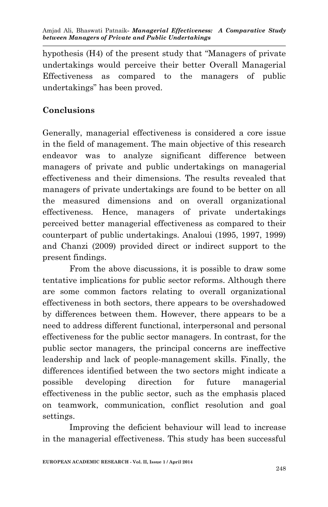hypothesis (H4) of the present study that "Managers of private undertakings would perceive their better Overall Managerial Effectiveness as compared to the managers of public undertakings" has been proved.

# **Conclusions**

Generally, managerial effectiveness is considered a core issue in the field of management. The main objective of this research endeavor was to analyze significant difference between managers of private and public undertakings on managerial effectiveness and their dimensions. The results revealed that managers of private undertakings are found to be better on all the measured dimensions and on overall organizational effectiveness. Hence, managers of private undertakings perceived better managerial effectiveness as compared to their counterpart of public undertakings. Analoui (1995, 1997, 1999) and Chanzi (2009) provided direct or indirect support to the present findings.

From the above discussions, it is possible to draw some tentative implications for public sector reforms. Although there are some common factors relating to overall organizational effectiveness in both sectors, there appears to be overshadowed by differences between them. However, there appears to be a need to address different functional, interpersonal and personal effectiveness for the public sector managers. In contrast, for the public sector managers, the principal concerns are ineffective leadership and lack of people-management skills. Finally, the differences identified between the two sectors might indicate a possible developing direction for future managerial effectiveness in the public sector, such as the emphasis placed on teamwork, communication, conflict resolution and goal settings.

Improving the deficient behaviour will lead to increase in the managerial effectiveness. This study has been successful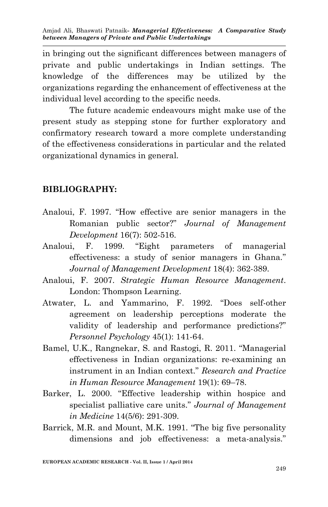in bringing out the significant differences between managers of private and public undertakings in Indian settings. The knowledge of the differences may be utilized by the organizations regarding the enhancement of effectiveness at the individual level according to the specific needs.

The future academic endeavours might make use of the present study as stepping stone for further exploratory and confirmatory research toward a more complete understanding of the effectiveness considerations in particular and the related organizational dynamics in general.

#### **BIBLIOGRAPHY:**

- Analoui, F. 1997. "How effective are senior managers in the Romanian public sector?" *Journal of Management Development* 16(7): 502-516.
- Analoui, F. 1999. "Eight parameters of managerial effectiveness: a study of senior managers in Ghana." *Journal of Management Development* 18(4): 362-389.
- Analoui, F. 2007. *Strategic Human Resource Management*. London: Thompson Learning.
- Atwater, L. and Yammarino, F. 1992. "Does self-other agreement on leadership perceptions moderate the validity of leadership and performance predictions?" *Personnel Psychology* 45(1): 141-64.
- Bamel, U.K., Rangnekar, S. and Rastogi, R. 2011. "Managerial effectiveness in Indian organizations: re-examining an instrument in an Indian context." *Research and Practice in Human Resource Management* 19(1): 69–78.
- Barker, L. 2000. "Effective leadership within hospice and specialist palliative care units." *Journal of Management in Medicine* 14(5/6): 291-309.
- Barrick, M.R. and Mount, M.K. 1991. "The big five personality dimensions and job effectiveness: a meta-analysis."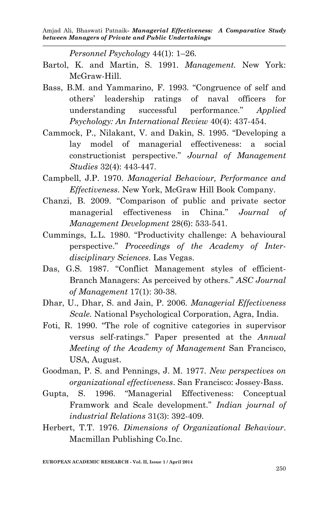*Personnel Psychology* 44(1): 1–26.

- Bartol, K. and Martin, S. 1991. *Management.* New York: McGraw-Hill.
- Bass, B.M. and Yammarino, F. 1993. "Congruence of self and others' leadership ratings of naval officers for understanding successful performance." *Applied Psychology: An International Review* 40(4): 437-454.
- Cammock, P., Nilakant, V. and Dakin, S. 1995. "Developing a lay model of managerial effectiveness: a social constructionist perspective." *Journal of Management Studies* 32(4): 443-447.
- Campbell, J.P. 1970. *Managerial Behaviour, Performance and Effectiveness*. New York, McGraw Hill Book Company.
- Chanzi, B. 2009. "Comparison of public and private sector managerial effectiveness in China." *Journal of Management Development* 28(6): 533-541.
- Cummings, L.L. 1980. "Productivity challenge: A behavioural perspective." *Proceedings of the Academy of Interdisciplinary Sciences*. Las Vegas.
- Das, G.S. 1987. "Conflict Management styles of efficient-Branch Managers: As perceived by others." *ASC Journal of Management* 17(1): 30-38.
- Dhar, U., Dhar, S. and Jain, P. 2006. *Managerial Effectiveness Scale.* National Psychological Corporation, Agra, India.
- Foti, R. 1990. "The role of cognitive categories in supervisor versus self-ratings." Paper presented at the *Annual Meeting of the Academy of Management* San Francisco, USA, August.
- Goodman, P. S. and Pennings, J. M. 1977. *New perspectives on organizational effectiveness*. San Francisco: Jossey-Bass.
- Gupta, S. 1996. "Managerial Effectiveness: Conceptual Framwork and Scale development." *Indian journal of industrial Relations* 31(3): 392-409.
- Herbert, T.T. 1976. *Dimensions of Organizational Behaviour*. Macmillan Publishing Co.Inc.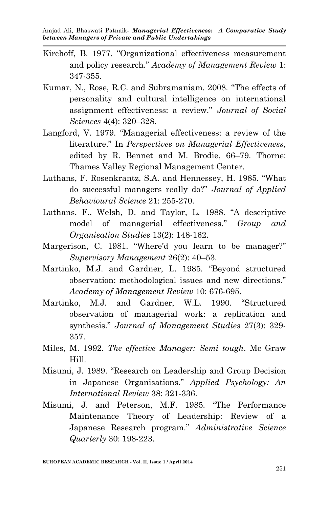- Kirchoff, B. 1977. "Organizational effectiveness measurement and policy research." *Academy of Management Review* 1: 347-355.
- Kumar, N., Rose, R.C. and Subramaniam. 2008. "The effects of personality and cultural intelligence on international assignment effectiveness: a review." *Journal of Social Sciences* 4(4): 320–328.
- Langford, V. 1979. "Managerial effectiveness: a review of the literature." In *Perspectives on Managerial Effectiveness*, edited by R. Bennet and M. Brodie, 66–79. Thorne: Thames Valley Regional Management Center.
- Luthans, F. Rosenkrantz, S.A. and Hennessey, H. 1985. "What do successful managers really do?" *Journal of Applied Behavioural Science* 21: 255-270.
- Luthans, F., Welsh, D. and Taylor, L. 1988. "A descriptive model of managerial effectiveness." *Group and Organisation Studies* 13(2): 148-162.
- Margerison, C. 1981. "Where'd you learn to be manager?" *Supervisory Management* 26(2): 40–53.
- Martinko, M.J. and Gardner, L. 1985. "Beyond structured observation: methodological issues and new directions." *Academy of Management Review* 10: 676-695.
- Martinko, M.J. and Gardner, W.L. 1990. "Structured observation of managerial work: a replication and synthesis." *Journal of Management Studies* 27(3): 329- 357.
- Miles, M. 1992. *The effective Manager: Semi tough*. Mc Graw Hill.
- Misumi, J. 1989. "Research on Leadership and Group Decision in Japanese Organisations." *Applied Psychology: An International Review* 38: 321-336.
- Misumi, J. and Peterson, M.F. 1985. "The Performance Maintenance Theory of Leadership: Review of a Japanese Research program." *Administrative Science Quarterly* 30: 198-223.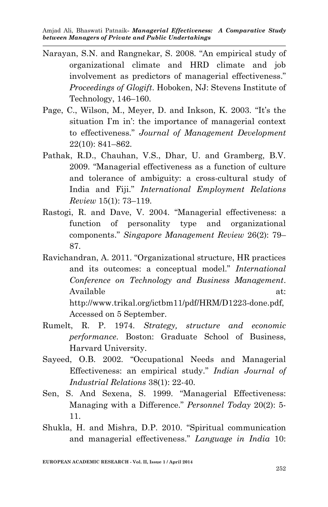- Narayan, S.N. and Rangnekar, S. 2008. "An empirical study of organizational climate and HRD climate and job involvement as predictors of managerial effectiveness." *Proceedings of Glogift*. Hoboken, NJ: Stevens Institute of Technology, 146–160.
- Page, C., Wilson, M., Meyer, D. and Inkson, K. 2003. "It's the situation I'm in': the importance of managerial context to effectiveness." *Journal of Management Development* 22(10): 841–862.
- Pathak, R.D., Chauhan, V.S., Dhar, U. and Gramberg, B.V. 2009. "Managerial effectiveness as a function of culture and tolerance of ambiguity: a cross-cultural study of India and Fiji." *International Employment Relations Review* 15(1): 73–119.
- Rastogi, R. and Dave, V. 2004. "Managerial effectiveness: a function of personality type and organizational components." *Singapore Management Review* 26(2): 79– 87.
- Ravichandran, A. 2011. "Organizational structure, HR practices and its outcomes: a conceptual model." *International Conference on Technology and Business Management*. Available at: http://www.trikal.org/ictbm11/pdf/HRM/D1223-done.pdf, Accessed on 5 September.
- Rumelt, R. P. 1974. *Strategy, structure and economic performance*. Boston: Graduate School of Business, Harvard University.
- Sayeed, O.B. 2002. "Occupational Needs and Managerial Effectiveness: an empirical study." *Indian Journal of Industrial Relations* 38(1): 22-40.
- Sen, S. And Sexena, S. 1999. "Managerial Effectiveness: Managing with a Difference." *Personnel Today* 20(2): 5- 11.
- Shukla, H. and Mishra, D.P. 2010. "Spiritual communication and managerial effectiveness." *Language in India* 10: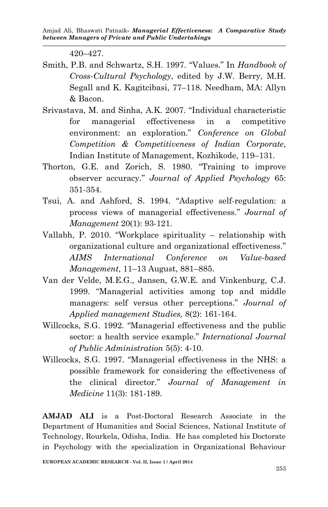420–427.

- Smith, P.B. and Schwartz, S.H. 1997. "Values." In *Handbook of Cross-Cultural Psychology*, edited by J.W. Berry, M.H. Segall and K. Kagitcibasi, 77–118. Needham, MA: Allyn & Bacon.
- Srivastava, M. and Sinha, A.K*.* 2007. "Individual characteristic for managerial effectiveness in a competitive environment: an exploration." *Conference on Global Competition & Competitiveness of Indian Corporate*, Indian Institute of Management, Kozhikode, 119–131*.*
- Thorton, G.E. and Zorich, S. 1980. "Training to improve observer accuracy." *Journal of Applied Psychology* 65: 351-354.
- Tsui, A. and Ashford, S. 1994. "Adaptive self-regulation: a process views of managerial effectiveness." *Journal of Management* 20(1): 93-121.
- Vallabh, P. 2010. "Workplace spirituality relationship with organizational culture and organizational effectiveness." *AIMS International Conference on Value-based Management*, 11–13 August, 881–885.
- Van der Velde, M.E.G., Jansen, G.W.E. and Vinkenburg, C.J. 1999. "Managerial activities among top and middle managers: self versus other perceptions." *Journal of Applied management Studies,* 8(2): 161-164.
- Willcocks, S.G. 1992. "Managerial effectiveness and the public sector: a health service example." *International Journal of Public Administration* 5(5): 4-10.
- Willcocks, S.G. 1997. "Managerial effectiveness in the NHS: a possible framework for considering the effectiveness of the clinical director." *Journal of Management in Medicine* 11(3): 181-189.

**AMJAD ALI** is a Post-Doctoral Research Associate in the Department of Humanities and Social Sciences, National Institute of Technology, Rourkela, Odisha, India. He has completed his Doctorate in Psychology with the specialization in Organizational Behaviour